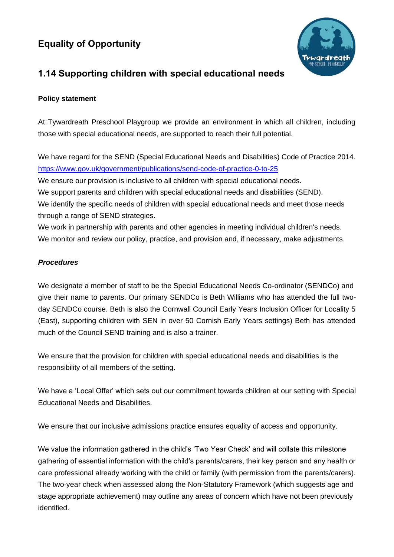## **Equality of Opportunity**



## **1.14 Supporting children with special educational needs**

## **Policy statement**

At Tywardreath Preschool Playgroup we provide an environment in which all children, including those with special educational needs, are supported to reach their full potential.

We have regard for the SEND (Special Educational Needs and Disabilities) Code of Practice 2014. <https://www.gov.uk/government/publications/send-code-of-practice-0-to-25>

We ensure our provision is inclusive to all children with special educational needs.

We support parents and children with special educational needs and disabilities (SEND).

We identify the specific needs of children with special educational needs and meet those needs through a range of SEND strategies.

We work in partnership with parents and other agencies in meeting individual children's needs. We monitor and review our policy, practice, and provision and, if necessary, make adjustments.

## *Procedures*

We designate a member of staff to be the Special Educational Needs Co-ordinator (SENDCo) and give their name to parents. Our primary SENDCo is Beth Williams who has attended the full twoday SENDCo course. Beth is also the Cornwall Council Early Years Inclusion Officer for Locality 5 (East), supporting children with SEN in over 50 Cornish Early Years settings) Beth has attended much of the Council SEND training and is also a trainer.

We ensure that the provision for children with special educational needs and disabilities is the responsibility of all members of the setting.

We have a 'Local Offer' which sets out our commitment towards children at our setting with Special Educational Needs and Disabilities.

We ensure that our inclusive admissions practice ensures equality of access and opportunity.

We value the information gathered in the child's 'Two Year Check' and will collate this milestone gathering of essential information with the child's parents/carers, their key person and any health or care professional already working with the child or family (with permission from the parents/carers). The two-year check when assessed along the Non-Statutory Framework (which suggests age and stage appropriate achievement) may outline any areas of concern which have not been previously identified.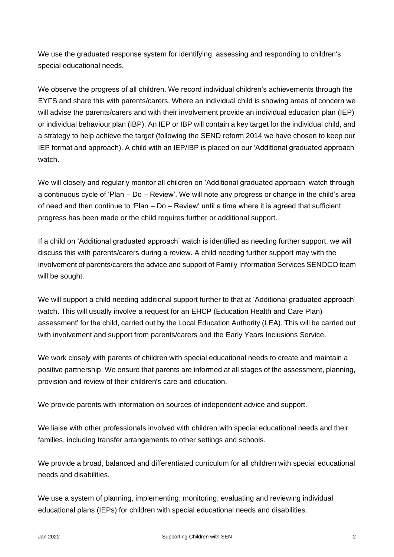We use the graduated response system for identifying, assessing and responding to children's special educational needs.

We observe the progress of all children. We record individual children's achievements through the EYFS and share this with parents/carers. Where an individual child is showing areas of concern we will advise the parents/carers and with their involvement provide an individual education plan (IEP) or individual behaviour plan (IBP). An IEP or IBP will contain a key target for the individual child, and a strategy to help achieve the target (following the SEND reform 2014 we have chosen to keep our IEP format and approach). A child with an IEP/IBP is placed on our 'Additional graduated approach' watch.

We will closely and regularly monitor all children on 'Additional graduated approach' watch through a continuous cycle of 'Plan – Do – Review'. We will note any progress or change in the child's area of need and then continue to 'Plan – Do – Review' until a time where it is agreed that sufficient progress has been made or the child requires further or additional support.

If a child on 'Additional graduated approach' watch is identified as needing further support, we will discuss this with parents/carers during a review. A child needing further support may with the involvement of parents/carers the advice and support of Family Information Services SENDCO team will be sought.

We will support a child needing additional support further to that at 'Additional graduated approach' watch. This will usually involve a request for an EHCP (Education Health and Care Plan) assessment' for the child, carried out by the Local Education Authority (LEA). This will be carried out with involvement and support from parents/carers and the Early Years Inclusions Service.

We work closely with parents of children with special educational needs to create and maintain a positive partnership. We ensure that parents are informed at all stages of the assessment, planning, provision and review of their children's care and education.

We provide parents with information on sources of independent advice and support.

We liaise with other professionals involved with children with special educational needs and their families, including transfer arrangements to other settings and schools.

We provide a broad, balanced and differentiated curriculum for all children with special educational needs and disabilities.

We use a system of planning, implementing, monitoring, evaluating and reviewing individual educational plans (IEPs) for children with special educational needs and disabilities.